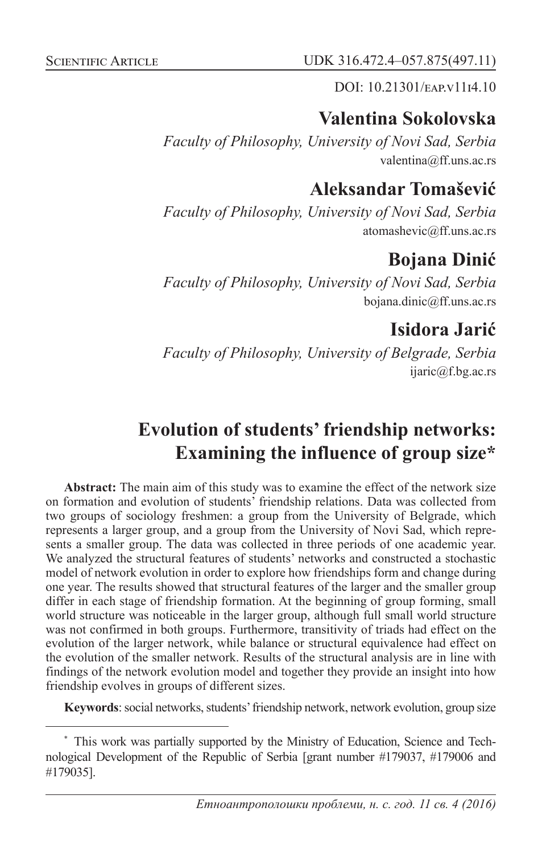DOI: 10.21301/EAP.v1114.10

## **Valentina Sokolovska**

*Faculty of Philosophy, University of Novi Sad, Serbia* valentina@ff.uns.ac.rs

## **Aleksandar Tomašević**

*Faculty of Philosophy, University of Novi Sad, Serbia* atomashevic@ff.uns.ac.rs

# **Bojana Dinić**

*Faculty of Philosophy, University of Novi Sad, Serbia* bojana.dinic@ff.uns.ac.rs

**Isidora Jarić**

*Faculty of Philosophy, University of Belgrade, Serbia* ijaric@f.bg.ac.rs

# **Evolution of students' friendship networks: Examining the influence of group size\***

**Abstract:** The main aim of this study was to examine the effect of the network size on formation and evolution of students' friendship relations. Data was collected from two groups of sociology freshmen: a group from the University of Belgrade, which represents a larger group, and a group from the University of Novi Sad, which represents a smaller group. The data was collected in three periods of one academic year. We analyzed the structural features of students' networks and constructed a stochastic model of network evolution in order to explore how friendships form and change during one year. The results showed that structural features of the larger and the smaller group differ in each stage of friendship formation. At the beginning of group forming, small world structure was noticeable in the larger group, although full small world structure was not confirmed in both groups. Furthermore, transitivity of triads had effect on the evolution of the larger network, while balance or structural equivalence had effect on the evolution of the smaller network. Results of the structural analysis are in line with findings of the network evolution model and together they provide an insight into how friendship evolves in groups of different sizes.

**Keywords**: social networks, students' friendship network, network evolution, group size

<sup>\*</sup> This work was partially supported by the Ministry of Education, Science and Technological Development of the Republic of Serbia [grant number #179037, #179006 and #179035].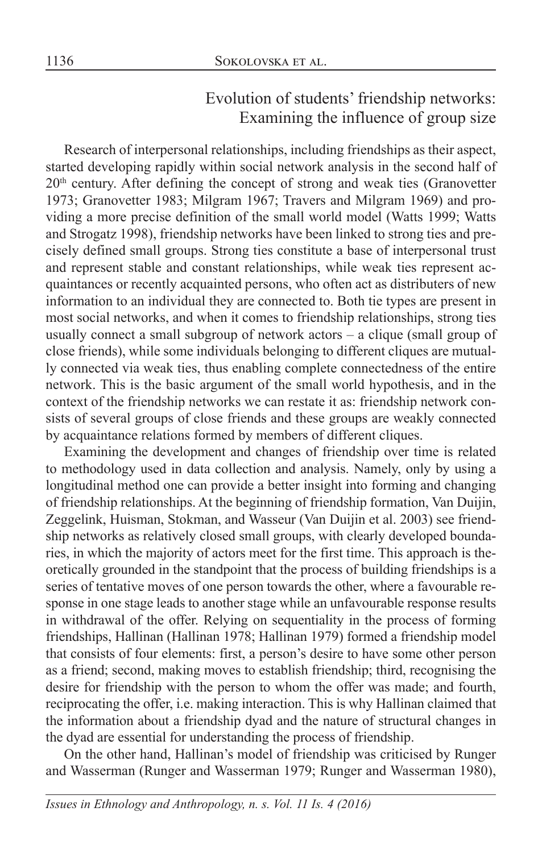## Evolution of students' friendship networks: Examining the influence of group size

Research of interpersonal relationships, including friendships as their aspect, started developing rapidly within social network analysis in the second half of 20<sup>th</sup> century. After defining the concept of strong and weak ties (Granovetter 1973; Granovetter 1983; Milgram 1967; Travers and Milgram 1969) and providing a more precise definition of the small world model (Watts 1999; Watts and Strogatz 1998), friendship networks have been linked to strong ties and precisely defined small groups. Strong ties constitute a base of interpersonal trust and represent stable and constant relationships, while weak ties represent acquaintances or recently acquainted persons, who often act as distributers of new information to an individual they are connected to. Both tie types are present in most social networks, and when it comes to friendship relationships, strong ties usually connect a small subgroup of network actors – a clique (small group of close friends), while some individuals belonging to different cliques are mutually connected via weak ties, thus enabling complete connectedness of the entire network. This is the basic argument of the small world hypothesis, and in the context of the friendship networks we can restate it as: friendship network consists of several groups of close friends and these groups are weakly connected by acquaintance relations formed by members of different cliques.

Examining the development and changes of friendship over time is related to methodology used in data collection and analysis. Namely, only by using a longitudinal method one can provide a better insight into forming and changing of friendship relationships. At the beginning of friendship formation, Van Duijin, Zeggelink, Huisman, Stokman, and Wasseur (Van Duijin et al. 2003) see friendship networks as relatively closed small groups, with clearly developed boundaries, in which the majority of actors meet for the first time. This approach is theoretically grounded in the standpoint that the process of building friendships is a series of tentative moves of one person towards the other, where a favourable response in one stage leads to another stage while an unfavourable response results in withdrawal of the offer. Relying on sequentiality in the process of forming friendships, Hallinan (Hallinan 1978; Hallinan 1979) formed a friendship model that consists of four elements: first, a person's desire to have some other person as a friend; second, making moves to establish friendship; third, recognising the desire for friendship with the person to whom the offer was made; and fourth, reciprocating the offer, i.e. making interaction. This is why Hallinan claimed that the information about a friendship dyad and the nature of structural changes in the dyad are essential for understanding the process of friendship.

On the other hand, Hallinan's model of friendship was criticised by Runger and Wasserman (Runger and Wasserman 1979; Runger and Wasserman 1980),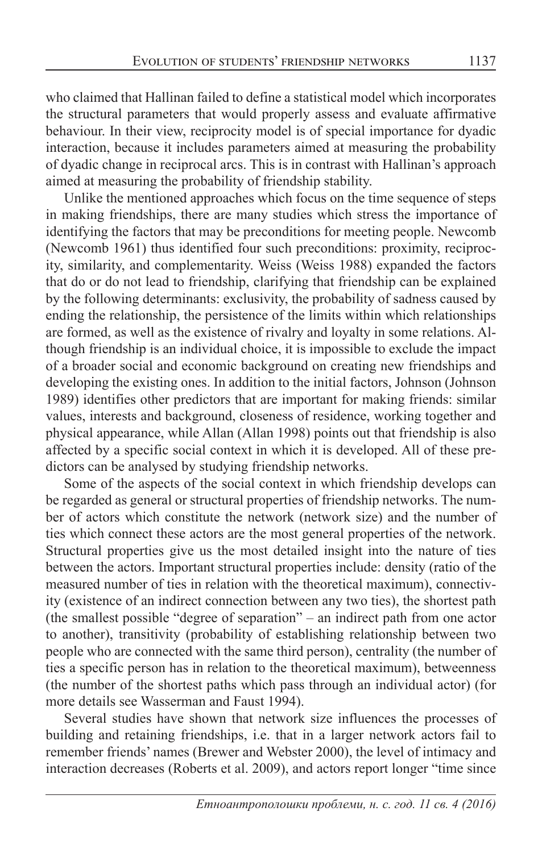who claimed that Hallinan failed to define a statistical model which incorporates the structural parameters that would properly assess and evaluate affirmative behaviour. In their view, reciprocity model is of special importance for dyadic interaction, because it includes parameters aimed at measuring the probability of dyadic change in reciprocal arcs. This is in contrast with Hallinan's approach aimed at measuring the probability of friendship stability.

Unlike the mentioned approaches which focus on the time sequence of steps in making friendships, there are many studies which stress the importance of identifying the factors that may be preconditions for meeting people. Newcomb (Newcomb 1961) thus identified four such preconditions: proximity, reciprocity, similarity, and complementarity. Weiss (Weiss 1988) expanded the factors that do or do not lead to friendship, clarifying that friendship can be explained by the following determinants: exclusivity, the probability of sadness caused by ending the relationship, the persistence of the limits within which relationships are formed, as well as the existence of rivalry and loyalty in some relations. Although friendship is an individual choice, it is impossible to exclude the impact of a broader social and economic background on creating new friendships and developing the existing ones. In addition to the initial factors, Johnson (Johnson 1989) identifies other predictors that are important for making friends: similar values, interests and background, closeness of residence, working together and physical appearance, while Allan (Allan 1998) points out that friendship is also affected by a specific social context in which it is developed. All of these predictors can be analysed by studying friendship networks.

Some of the aspects of the social context in which friendship develops can be regarded as general or structural properties of friendship networks. The number of actors which constitute the network (network size) and the number of ties which connect these actors are the most general properties of the network. Structural properties give us the most detailed insight into the nature of ties between the actors. Important structural properties include: density (ratio of the measured number of ties in relation with the theoretical maximum), connectivity (existence of an indirect connection between any two ties), the shortest path (the smallest possible "degree of separation" – an indirect path from one actor to another), transitivity (probability of establishing relationship between two people who are connected with the same third person), centrality (the number of ties a specific person has in relation to the theoretical maximum), betweenness (the number of the shortest paths which pass through an individual actor) (for more details see Wasserman and Faust 1994).

Several studies have shown that network size influences the processes of building and retaining friendships, i.e. that in a larger network actors fail to remember friends' names (Brewer and Webster 2000), the level of intimacy and interaction decreases (Roberts et al. 2009), and actors report longer "time since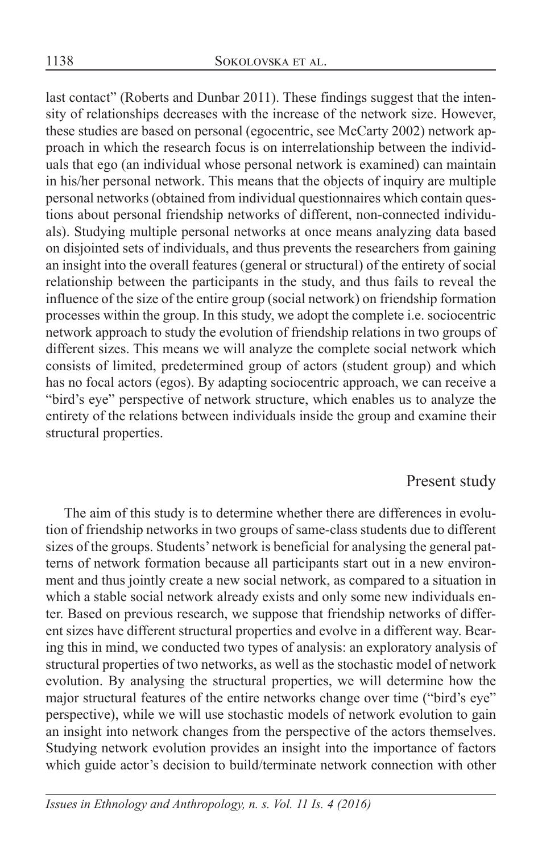last contact" (Roberts and Dunbar 2011). These findings suggest that the intensity of relationships decreases with the increase of the network size. However, these studies are based on personal (egocentric, see McCarty 2002) network approach in which the research focus is on interrelationship between the individuals that ego (an individual whose personal network is examined) can maintain in his/her personal network. This means that the objects of inquiry are multiple personal networks (obtained from individual questionnaires which contain questions about personal friendship networks of different, non-connected individuals). Studying multiple personal networks at once means analyzing data based on disjointed sets of individuals, and thus prevents the researchers from gaining an insight into the overall features (general or structural) of the entirety of social relationship between the participants in the study, and thus fails to reveal the influence of the size of the entire group (social network) on friendship formation processes within the group. In this study, we adopt the complete i.e. sociocentric network approach to study the evolution of friendship relations in two groups of different sizes. This means we will analyze the complete social network which consists of limited, predetermined group of actors (student group) and which has no focal actors (egos). By adapting sociocentric approach, we can receive a "bird's eye" perspective of network structure, which enables us to analyze the entirety of the relations between individuals inside the group and examine their structural properties.

### Present study

The aim of this study is to determine whether there are differences in evolution of friendship networks in two groups of same-class students due to different sizes of the groups. Students' network is beneficial for analysing the general patterns of network formation because all participants start out in a new environment and thus jointly create a new social network, as compared to a situation in which a stable social network already exists and only some new individuals enter. Based on previous research, we suppose that friendship networks of different sizes have different structural properties and evolve in a different way. Bearing this in mind, we conducted two types of analysis: an exploratory analysis of structural properties of two networks, as well as the stochastic model of network evolution. By analysing the structural properties, we will determine how the major structural features of the entire networks change over time ("bird's eye" perspective), while we will use stochastic models of network evolution to gain an insight into network changes from the perspective of the actors themselves. Studying network evolution provides an insight into the importance of factors which guide actor's decision to build/terminate network connection with other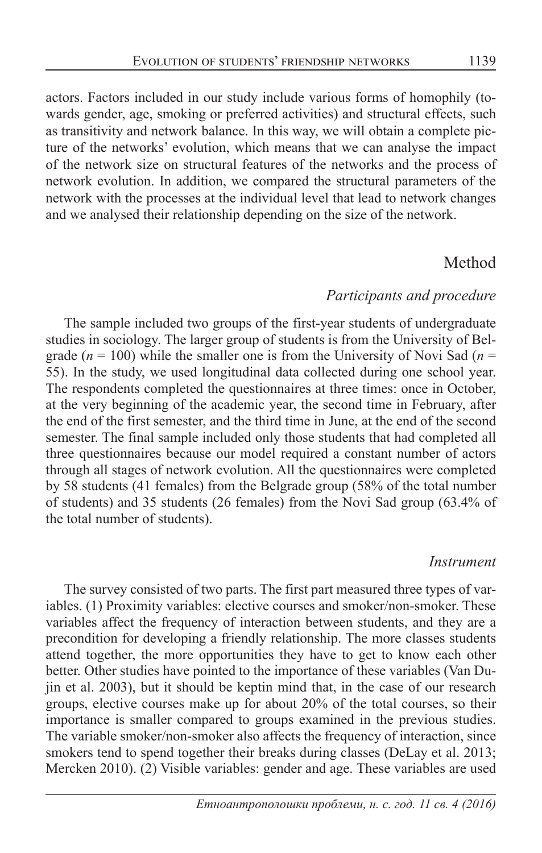actors. Factors included in our study include various forms of homophily (towards gender, age, smoking or preferred activities) and structural effects, such as transitivity and network balance. In this way, we will obtain a complete picture of the networks' evolution, which means that we can analyse the impact of the network size on structural features of the networks and the process of network evolution. In addition, we compared the structural parameters of the network with the processes at the individual level that lead to network changes and we analysed their relationship depending on the size of the network.

### Method

#### *Participants and procedure*

The sample included two groups of the first-year students of undergraduate studies in sociology. The larger group of students is from the University of Belgrade ( $n = 100$ ) while the smaller one is from the University of Novi Sad ( $n =$ 55). In the study, we used longitudinal data collected during one school year. The respondents completed the questionnaires at three times: once in October, at the very beginning of the academic year, the second time in February, after the end of the first semester, and the third time in June, at the end of the second semester. The final sample included only those students that had completed all three questionnaires because our model required a constant number of actors through all stages of network evolution. All the questionnaires were completed by 58 students (41 females) from the Belgrade group (58% of the total number of students) and 35 students (26 females) from the Novi Sad group (63.4% of the total number of students).

#### *Instrument*

The survey consisted of two parts. The first part measured three types of variables. (1) Proximity variables: elective courses and smoker/non-smoker. These variables affect the frequency of interaction between students, and they are a precondition for developing a friendly relationship. The more classes students attend together, the more opportunities they have to get to know each other better. Other studies have pointed to the importance of these variables (Van Dujin et al. 2003), but it should be keptin mind that, in the case of our research groups, elective courses make up for about 20% of the total courses, so their importance is smaller compared to groups examined in the previous studies. The variable smoker/non-smoker also affects the frequency of interaction, since smokers tend to spend together their breaks during classes (DeLay et al. 2013; Mercken 2010). (2) Visible variables: gender and age. These variables are used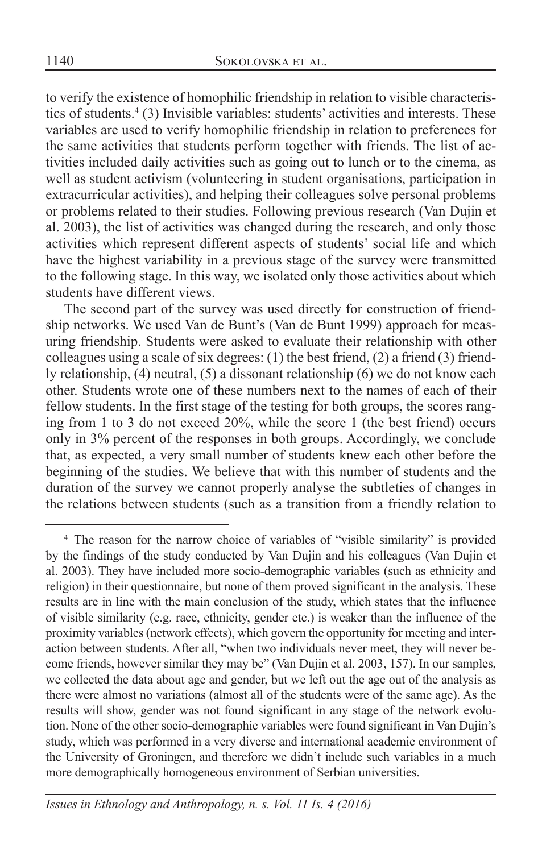to verify the existence of homophilic friendship in relation to visible characteristics of students.<sup>4</sup> (3) Invisible variables: students' activities and interests. These variables are used to verify homophilic friendship in relation to preferences for the same activities that students perform together with friends. The list of activities included daily activities such as going out to lunch or to the cinema, as well as student activism (volunteering in student organisations, participation in extracurricular activities), and helping their colleagues solve personal problems or problems related to their studies. Following previous research (Van Dujin et al. 2003), the list of activities was changed during the research, and only those activities which represent different aspects of students' social life and which have the highest variability in a previous stage of the survey were transmitted to the following stage. In this way, we isolated only those activities about which students have different views.

The second part of the survey was used directly for construction of friendship networks. We used Van de Bunt's (Van de Bunt 1999) approach for measuring friendship. Students were asked to evaluate their relationship with other colleagues using a scale of six degrees: (1) the best friend, (2) a friend (3) friendly relationship, (4) neutral, (5) a dissonant relationship (6) we do not know each other. Students wrote one of these numbers next to the names of each of their fellow students. In the first stage of the testing for both groups, the scores ranging from 1 to 3 do not exceed 20%, while the score 1 (the best friend) occurs only in 3% percent of the responses in both groups. Accordingly, we conclude that, as expected, a very small number of students knew each other before the beginning of the studies. We believe that with this number of students and the duration of the survey we cannot properly analyse the subtleties of changes in the relations between students (such as a transition from a friendly relation to

<sup>&</sup>lt;sup>4</sup> The reason for the narrow choice of variables of "visible similarity" is provided by the findings of the study conducted by Van Dujin and his colleagues (Van Dujin et al. 2003). They have included more socio-demographic variables (such as ethnicity and religion) in their questionnaire, but none of them proved significant in the analysis. These results are in line with the main conclusion of the study, which states that the influence of visible similarity (e.g. race, ethnicity, gender etc.) is weaker than the influence of the proximity variables (network effects), which govern the opportunity for meeting and interaction between students. After all, "when two individuals never meet, they will never become friends, however similar they may be" (Van Dujin et al. 2003, 157). In our samples, we collected the data about age and gender, but we left out the age out of the analysis as there were almost no variations (almost all of the students were of the same age). As the results will show, gender was not found significant in any stage of the network evolution. None of the other socio-demographic variables were found significant in Van Dujin's study, which was performed in a very diverse and international academic environment of the University of Groningen, and therefore we didn't include such variables in a much more demographically homogeneous environment of Serbian universities.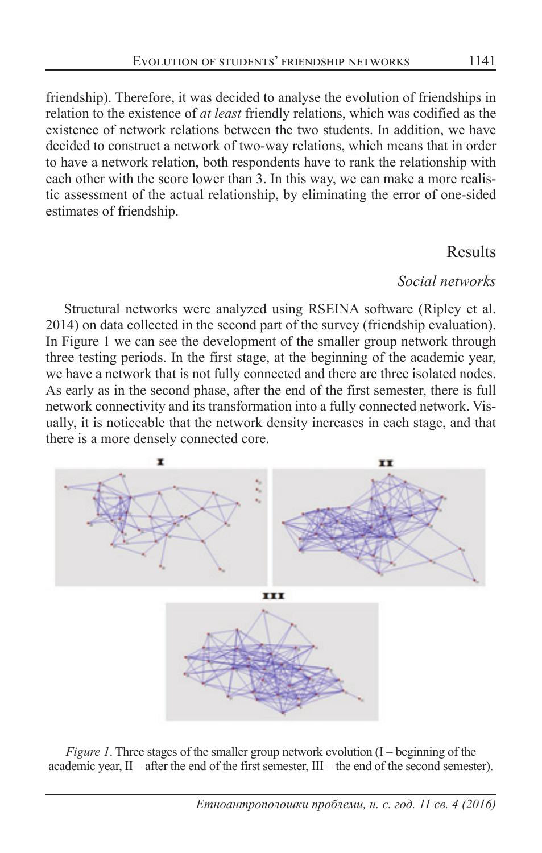friendship). Therefore, it was decided to analyse the evolution of friendships in relation to the existence of *at least* friendly relations, which was codified as the existence of network relations between the two students. In addition, we have decided to construct a network of two-way relations, which means that in order to have a network relation, both respondents have to rank the relationship with each other with the score lower than 3. In this way, we can make a more realistic assessment of the actual relationship, by eliminating the error of one-sided estimates of friendship.

## Results

### *Social networks*

Structural networks were analyzed using RSEINA software (Ripley et al. 2014) on data collected in the second part of the survey (friendship evaluation). In Figure 1 we can see the development of the smaller group network through three testing periods. In the first stage, at the beginning of the academic year, we have a network that is not fully connected and there are three isolated nodes. As early as in the second phase, after the end of the first semester, there is full network connectivity and its transformation into a fully connected network. Visually, it is noticeable that the network density increases in each stage, and that there is a more densely connected core.





*Figure 1*. Three stages of the smaller group network evolution (I – beginning of the academic year, II – after the end of the first semester, III – the end of the second semester).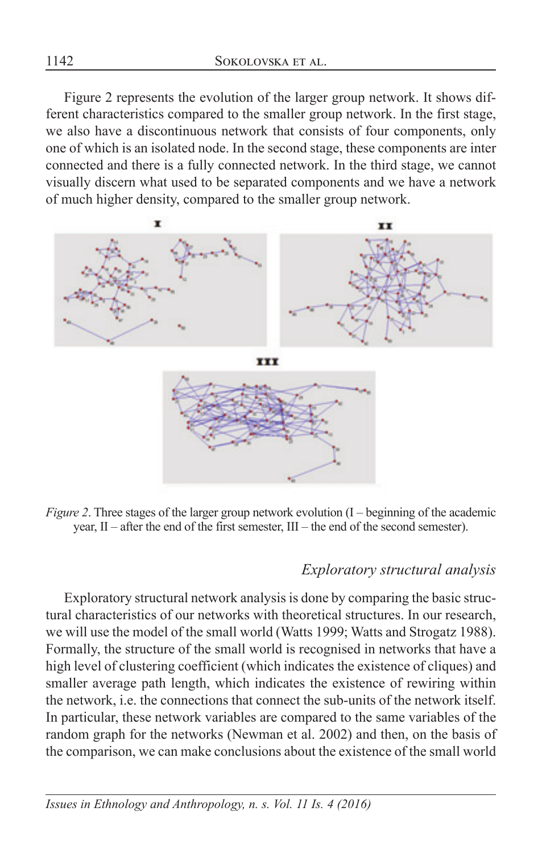Figure 2 represents the evolution of the larger group network. It shows different characteristics compared to the smaller group network. In the first stage, we also have a discontinuous network that consists of four components, only one of which is an isolated node. In the second stage, these components are inter connected and there is a fully connected network. In the third stage, we cannot visually discern what used to be separated components and we have a network of much higher density, compared to the smaller group network.



*Figure 2*. Three stages of the larger group network evolution (I – beginning of the academic year, II – after the end of the first semester, III – the end of the second semester).

### *Exploratory structural analysis*

Exploratory structural network analysis is done by comparing the basic structural characteristics of our networks with theoretical structures. In our research, we will use the model of the small world (Watts 1999; Watts and Strogatz 1988). Formally, the structure of the small world is recognised in networks that have a high level of clustering coefficient (which indicates the existence of cliques) and smaller average path length, which indicates the existence of rewiring within the network, i.e. the connections that connect the sub-units of the network itself. In particular, these network variables are compared to the same variables of the random graph for the networks (Newman et al. 2002) and then, on the basis of the comparison, we can make conclusions about the existence of the small world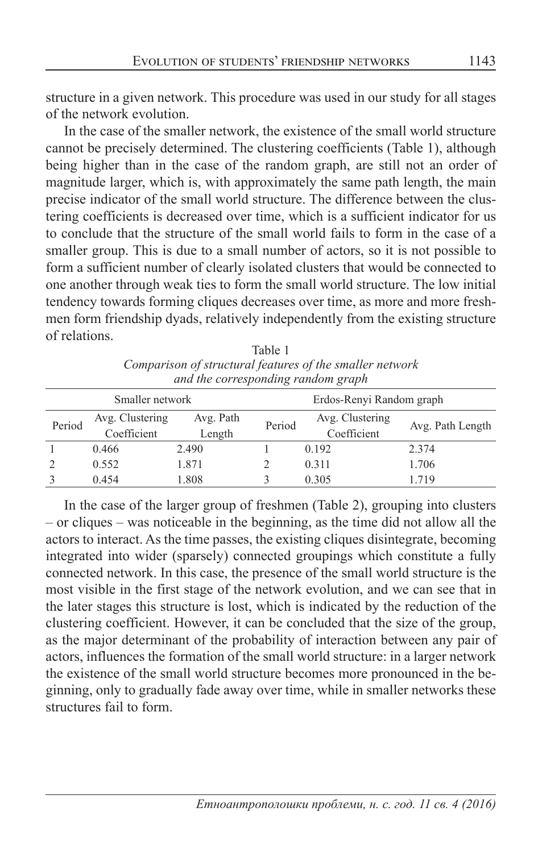structure in a given network. This procedure was used in our study for all stages of the network evolution.

In the case of the smaller network, the existence of the small world structure cannot be precisely determined. The clustering coefficients (Table 1), although being higher than in the case of the random graph, are still not an order of magnitude larger, which is, with approximately the same path length, the main precise indicator of the small world structure. The difference between the clustering coefficients is decreased over time, which is a sufficient indicator for us to conclude that the structure of the small world fails to form in the case of a smaller group. This is due to a small number of actors, so it is not possible to form a sufficient number of clearly isolated clusters that would be connected to one another through weak ties to form the small world structure. The low initial tendency towards forming cliques decreases over time, as more and more freshmen form friendship dyads, relatively independently from the existing structure of relations.  $T = 1, 1, 1$ 

| radie i                                                  |  |  |  |  |  |
|----------------------------------------------------------|--|--|--|--|--|
| Comparison of structural features of the smaller network |  |  |  |  |  |
| and the corresponding random graph                       |  |  |  |  |  |
|                                                          |  |  |  |  |  |

| Smaller network |                 |           | Erdos-Renyi Random graph |                 |                  |  |
|-----------------|-----------------|-----------|--------------------------|-----------------|------------------|--|
| Period          | Avg. Clustering | Avg. Path | Period                   | Avg. Clustering | Avg. Path Length |  |
|                 | Coefficient     | Length    |                          | Coefficient     |                  |  |
|                 | 0.466           | 2.490     |                          | 0.192           | 2.374            |  |
|                 | 0.552           | 1.871     |                          | 0.311           | 1.706            |  |
|                 | 0.454           | 1.808     |                          | 0.305           | 1.719            |  |

In the case of the larger group of freshmen (Table 2), grouping into clusters – or cliques – was noticeable in the beginning, as the time did not allow all the actors to interact. As the time passes, the existing cliques disintegrate, becoming integrated into wider (sparsely) connected groupings which constitute a fully connected network. In this case, the presence of the small world structure is the most visible in the first stage of the network evolution, and we can see that in the later stages this structure is lost, which is indicated by the reduction of the clustering coefficient. However, it can be concluded that the size of the group, as the major determinant of the probability of interaction between any pair of actors, influences the formation of the small world structure: in a larger network the existence of the small world structure becomes more pronounced in the beginning, only to gradually fade away over time, while in smaller networks these structures fail to form.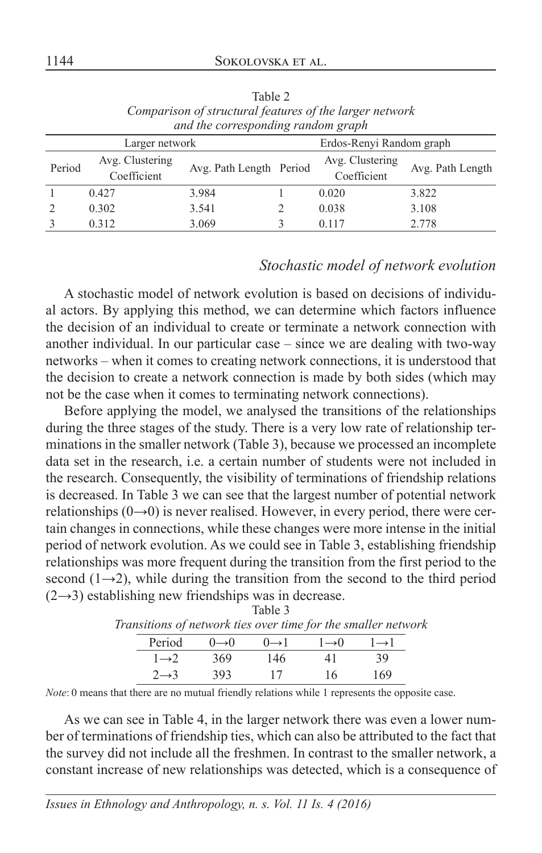| and the corresponding random graph         |                                |                         |  |                                |                  |  |
|--------------------------------------------|--------------------------------|-------------------------|--|--------------------------------|------------------|--|
| Erdos-Renyi Random graph<br>Larger network |                                |                         |  |                                |                  |  |
| Period                                     | Avg. Clustering<br>Coefficient | Avg. Path Length Period |  | Avg. Clustering<br>Coefficient | Avg. Path Length |  |
|                                            | 0.427                          | 3.984                   |  | 0.020                          | 3.822            |  |
|                                            | 0.302                          | 3.541                   |  | 0.038                          | 3.108            |  |
|                                            | 0.312                          | 3.069                   |  | 0.117                          | 2.778            |  |

Table 2 *Comparison of structural features of the larger network and the corresponding random graph*

#### *Stochastic model of network evolution*

A stochastic model of network evolution is based on decisions of individual actors. By applying this method, we can determine which factors influence the decision of an individual to create or terminate a network connection with another individual. In our particular case – since we are dealing with two-way networks – when it comes to creating network connections, it is understood that the decision to create a network connection is made by both sides (which may not be the case when it comes to terminating network connections).

Before applying the model, we analysed the transitions of the relationships during the three stages of the study. There is a very low rate of relationship terminations in the smaller network (Table 3), because we processed an incomplete data set in the research, i.e. a certain number of students were not included in the research. Consequently, the visibility of terminations of friendship relations is decreased. In Table 3 we can see that the largest number of potential network relationships  $(0\rightarrow 0)$  is never realised. However, in every period, there were certain changes in connections, while these changes were more intense in the initial period of network evolution. As we could see in Table 3, establishing friendship relationships was more frequent during the transition from the first period to the second (1→2), while during the transition from the second to the third period  $(2\rightarrow 3)$  establishing new friendships was in decrease. Table 3

| anstitions of network ties over time for the smaller netwi |                   |                    |                   |                 |
|------------------------------------------------------------|-------------------|--------------------|-------------------|-----------------|
| Period                                                     | $0 \rightarrow 0$ | $() \rightarrow ]$ | $1 \rightarrow 0$ | $\rightarrow$ l |
| $1\rightarrow 2$                                           | 369               | 146                | 41                | 39              |
| $2 \rightarrow 3$                                          | 393               | 17                 | 16                | 169             |

|  | Transitions of network ties over time for the smaller network              |  |  |
|--|----------------------------------------------------------------------------|--|--|
|  | Period $0\rightarrow 0$ $0\rightarrow 1$ $1\rightarrow 0$ $1\rightarrow 1$ |  |  |

*Note*: 0 means that there are no mutual friendly relations while 1 represents the opposite case.

As we can see in Table 4, in the larger network there was even a lower number of terminations of friendship ties, which can also be attributed to the fact that the survey did not include all the freshmen. In contrast to the smaller network, a constant increase of new relationships was detected, which is a consequence of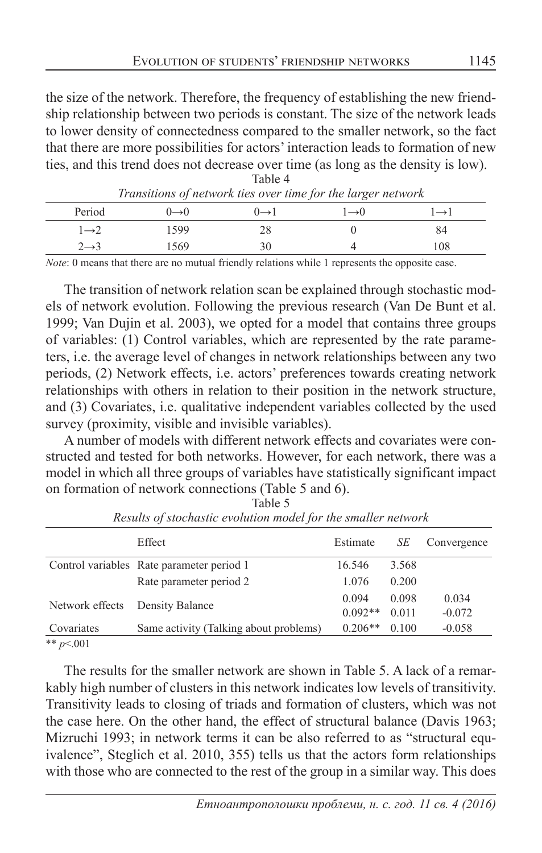the size of the network. Therefore, the frequency of establishing the new friendship relationship between two periods is constant. The size of the network leads to lower density of connectedness compared to the smaller network, so the fact that there are more possibilities for actors' interaction leads to formation of new ties, and this trend does not decrease over time (as long as the density is low). Table 4

| Period            | $\rightarrow 0$ | $\rightarrow$ 1 | $\rightarrow ()$ | $\rightarrow$ 1 |
|-------------------|-----------------|-----------------|------------------|-----------------|
| $1\rightarrow 2$  | 1599            | 28              |                  | 84              |
| $2 \rightarrow 3$ | 1569            | 30              |                  | 108             |

| Transitions of network ties over time for the larger network |  |  |
|--------------------------------------------------------------|--|--|
|                                                              |  |  |

*Note*: 0 means that there are no mutual friendly relations while 1 represents the opposite case.

The transition of network relation scan be explained through stochastic models of network evolution. Following the previous research (Van De Bunt et al. 1999; Van Dujin et al. 2003), we opted for a model that contains three groups of variables: (1) Control variables, which are represented by the rate parameters, i.e. the average level of changes in network relationships between any two periods, (2) Network effects, i.e. actors' preferences towards creating network relationships with others in relation to their position in the network structure, and (3) Covariates, i.e. qualitative independent variables collected by the used survey (proximity, visible and invisible variables).

A number of models with different network effects and covariates were constructed and tested for both networks. However, for each network, there was a model in which all three groups of variables have statistically significant impact on formation of network connections (Table 5 and 6). Table 5

|                 | Effect                                    | Estimate  | SЕ    | Convergence |
|-----------------|-------------------------------------------|-----------|-------|-------------|
|                 | Control variables Rate parameter period 1 | 16.546    | 3.568 |             |
|                 | Rate parameter period 2                   | 1.076     | 0.200 |             |
|                 |                                           | 0.094     | 0.098 | 0.034       |
| Network effects | Density Balance                           | $0.092**$ | 0.011 | $-0.072$    |
| Covariates      | Same activity (Talking about problems)    | $0.206**$ | 0.100 | $-0.058$    |
| ** $p<.001$     |                                           |           |       |             |

*Results of stochastic evolution model for the smaller network*

The results for the smaller network are shown in Table 5. A lack of a remarkably high number of clusters in this network indicates low levels of transitivity. Transitivity leads to closing of triads and formation of clusters, which was not the case here. On the other hand, the effect of structural balance (Davis 1963; Mizruchi 1993; in network terms it can be also referred to as "structural equivalence", Steglich et al. 2010, 355) tells us that the actors form relationships with those who are connected to the rest of the group in a similar way. This does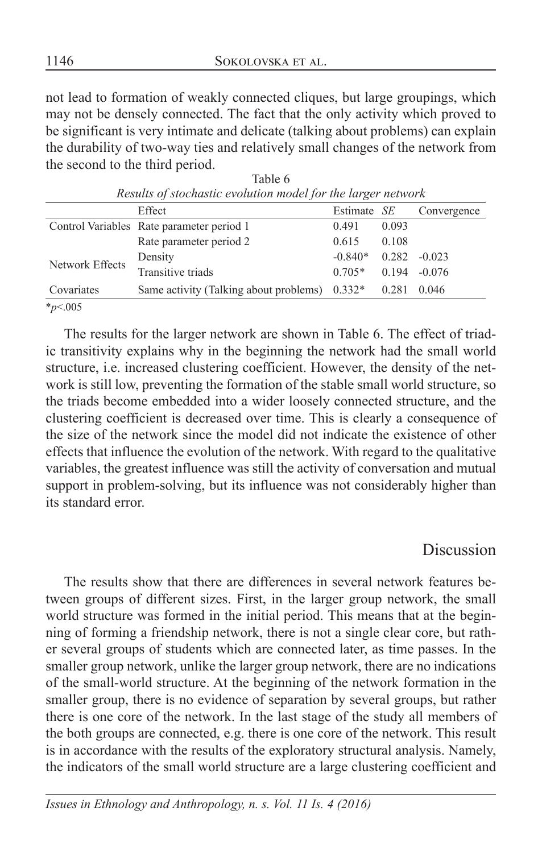not lead to formation of weakly connected cliques, but large groupings, which may not be densely connected. The fact that the only activity which proved to be significant is very intimate and delicate (talking about problems) can explain the durability of two-way ties and relatively small changes of the network from the second to the third period.

| Results of stochastic evolution model for the targer network |                                                 |             |       |             |  |  |
|--------------------------------------------------------------|-------------------------------------------------|-------------|-------|-------------|--|--|
|                                                              | Effect                                          | Estimate SE |       | Convergence |  |  |
|                                                              | Control Variables Rate parameter period 1       | 0.491       | 0.093 |             |  |  |
|                                                              | Rate parameter period 2                         | 0.615       | 0.108 |             |  |  |
| Network Effects                                              | Density                                         | $-0.840*$   | 0.282 | $-0.023$    |  |  |
|                                                              | Transitive triads                               | $0.705*$    | 0.194 | $-0.076$    |  |  |
| Covariates                                                   | Same activity (Talking about problems) $0.332*$ |             | 0.281 | 0.046       |  |  |
| * $p<.005$                                                   |                                                 |             |       |             |  |  |

|                                                              | Table 6 |  |
|--------------------------------------------------------------|---------|--|
| Results of stochastic evolution model for the larger network |         |  |

The results for the larger network are shown in Table 6. The effect of triad-

ic transitivity explains why in the beginning the network had the small world structure, i.e. increased clustering coefficient. However, the density of the network is still low, preventing the formation of the stable small world structure, so the triads become embedded into a wider loosely connected structure, and the clustering coefficient is decreased over time. This is clearly a consequence of the size of the network since the model did not indicate the existence of other effects that influence the evolution of the network. With regard to the qualitative variables, the greatest influence was still the activity of conversation and mutual support in problem-solving, but its influence was not considerably higher than its standard error.

## Discussion

The results show that there are differences in several network features between groups of different sizes. First, in the larger group network, the small world structure was formed in the initial period. This means that at the beginning of forming a friendship network, there is not a single clear core, but rather several groups of students which are connected later, as time passes. In the smaller group network, unlike the larger group network, there are no indications of the small-world structure. At the beginning of the network formation in the smaller group, there is no evidence of separation by several groups, but rather there is one core of the network. In the last stage of the study all members of the both groups are connected, e.g. there is one core of the network. This result is in accordance with the results of the exploratory structural analysis. Namely, the indicators of the small world structure are a large clustering coefficient and

*Issues in Ethnology and Anthropology, n. s. Vol. 11 Is. 4 (2016)*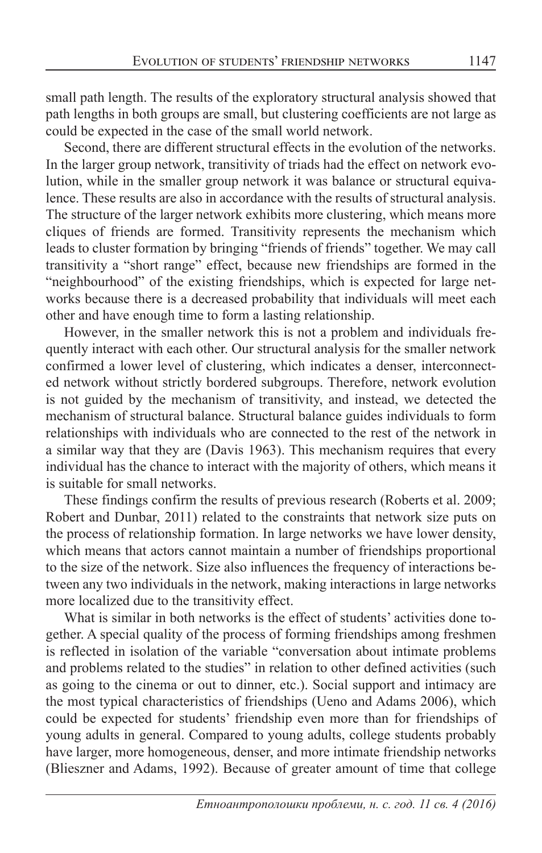small path length. The results of the exploratory structural analysis showed that path lengths in both groups are small, but clustering coefficients are not large as could be expected in the case of the small world network.

Second, there are different structural effects in the evolution of the networks. In the larger group network, transitivity of triads had the effect on network evolution, while in the smaller group network it was balance or structural equivalence. These results are also in accordance with the results of structural analysis. The structure of the larger network exhibits more clustering, which means more cliques of friends are formed. Transitivity represents the mechanism which leads to cluster formation by bringing "friends of friends" together. We may call transitivity a "short range" effect, because new friendships are formed in the "neighbourhood" of the existing friendships, which is expected for large networks because there is a decreased probability that individuals will meet each other and have enough time to form a lasting relationship.

However, in the smaller network this is not a problem and individuals frequently interact with each other. Our structural analysis for the smaller network confirmed a lower level of clustering, which indicates a denser, interconnected network without strictly bordered subgroups. Therefore, network evolution is not guided by the mechanism of transitivity, and instead, we detected the mechanism of structural balance. Structural balance guides individuals to form relationships with individuals who are connected to the rest of the network in a similar way that they are (Davis 1963). This mechanism requires that every individual has the chance to interact with the majority of others, which means it is suitable for small networks.

These findings confirm the results of previous research (Roberts et al. 2009; Robert and Dunbar, 2011) related to the constraints that network size puts on the process of relationship formation. In large networks we have lower density, which means that actors cannot maintain a number of friendships proportional to the size of the network. Size also influences the frequency of interactions between any two individuals in the network, making interactions in large networks more localized due to the transitivity effect.

What is similar in both networks is the effect of students' activities done together. A special quality of the process of forming friendships among freshmen is reflected in isolation of the variable "conversation about intimate problems and problems related to the studies" in relation to other defined activities (such as going to the cinema or out to dinner, etc.). Social support and intimacy are the most typical characteristics of friendships (Ueno and Adams 2006), which could be expected for students' friendship even more than for friendships of young adults in general. Compared to young adults, college students probably have larger, more homogeneous, denser, and more intimate friendship networks (Blieszner and Adams, 1992). Because of greater amount of time that college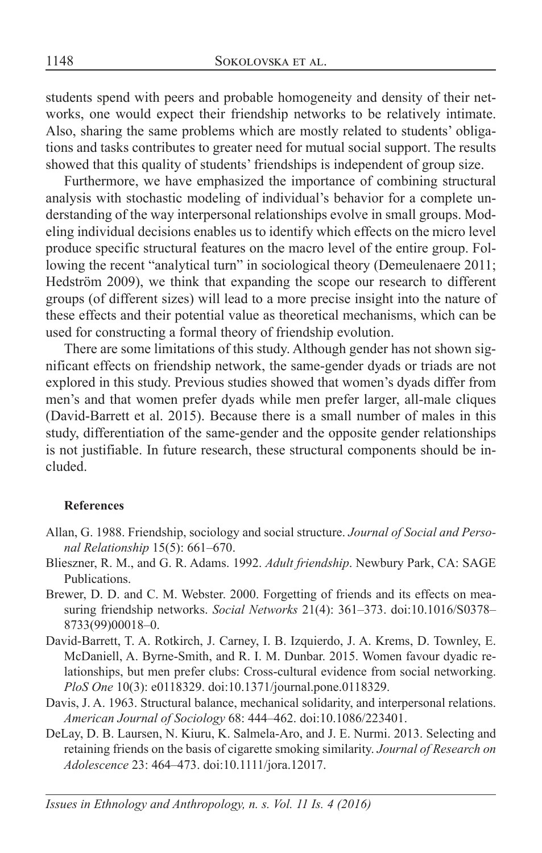students spend with peers and probable homogeneity and density of their networks, one would expect their friendship networks to be relatively intimate. Also, sharing the same problems which are mostly related to students' obligations and tasks contributes to greater need for mutual social support. The results showed that this quality of students' friendships is independent of group size.

Furthermore, we have emphasized the importance of combining structural analysis with stochastic modeling of individual's behavior for a complete understanding of the way interpersonal relationships evolve in small groups. Modeling individual decisions enables us to identify which effects on the micro level produce specific structural features on the macro level of the entire group. Following the recent "analytical turn" in sociological theory (Demeulenaere 2011; Hedström 2009), we think that expanding the scope our research to different groups (of different sizes) will lead to a more precise insight into the nature of these effects and their potential value as theoretical mechanisms, which can be used for constructing a formal theory of friendship evolution.

There are some limitations of this study. Although gender has not shown significant effects on friendship network, the same-gender dyads or triads are not explored in this study. Previous studies showed that women's dyads differ from men's and that women prefer dyads while men prefer larger, all-male cliques (David-Barrett et al. 2015). Because there is a small number of males in this study, differentiation of the same-gender and the opposite gender relationships is not justifiable. In future research, these structural components should be included.

#### **References**

- Allan, G. 1988. Friendship, sociology and social structure. *Journal of Social and Personal Relationship* 15(5): 661–670.
- Blieszner, R. M., and G. R. Adams. 1992. *Adult friendship*. Newbury Park, CA: SAGE Publications.
- Brewer, D. D. and C. M. Webster. 2000. Forgetting of friends and its effects on measuring friendship networks. *Social Networks* 21(4): 361–373. doi:10.1016/S0378– 8733(99)00018–0.
- David-Barrett, T. A. Rotkirch, J. Carney, I. B. Izquierdo, J. A. Krems, D. Townley, E. McDaniell, A. Byrne-Smith, and R. I. M. Dunbar. 2015. Women favour dyadic relationships, but men prefer clubs: Cross-cultural evidence from social networking. *PloS One* 10(3): e0118329. doi:10.1371/journal.pone.0118329.
- Davis, J. A. 1963. Structural balance, mechanical solidarity, and interpersonal relations. *American Journal of Sociology* 68: 444–462. doi:10.1086/223401.
- DeLay, D. B. Laursen, N. Kiuru, K. Salmela-Aro, and J. E. Nurmi. 2013. Selecting and retaining friends on the basis of cigarette smoking similarity. *Journal of Research on Adolescence* 23: 464–473. doi:10.1111/jora.12017.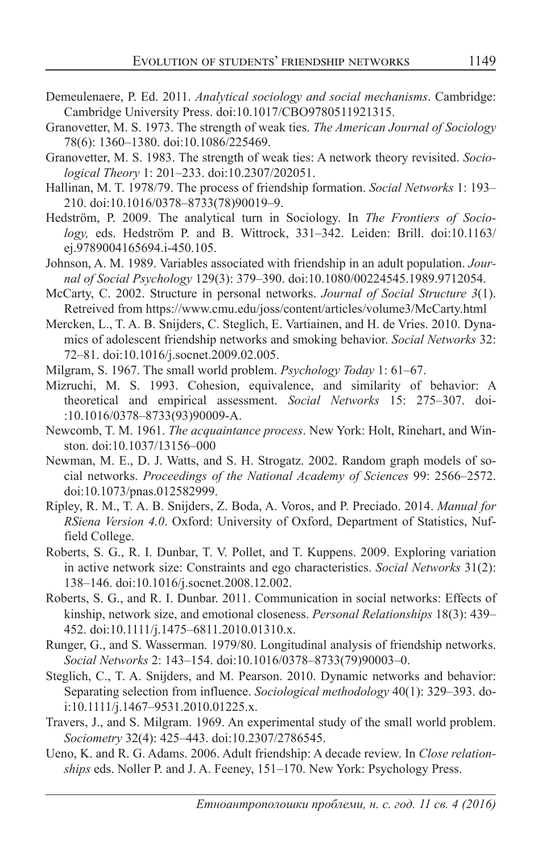- Demeulenaere, P. Ed. 2011. *Analytical sociology and social mechanisms*. Cambridge: Cambridge University Press. doi:10.1017/CBO9780511921315.
- Granovetter, M. S. 1973. The strength of weak ties. *The American Journal of Sociology*  78(6): 1360–1380. doi:10.1086/225469.
- Granovetter, M. S. 1983. The strength of weak ties: A network theory revisited. *Sociological Theory* 1: 201–233. doi:10.2307/202051.
- Hallinan, M. T. 1978/79. The process of friendship formation. *Social Networks* 1: 193– 210. doi:10.1016/0378–8733(78)90019–9.
- Hedström, P. 2009. The analytical turn in Sociology. In *The Frontiers of Sociology,* eds. Hedström P. and B. Wittrock, 331–342. Leiden: Brill. doi:10.1163/ ej.9789004165694.i-450.105.
- Johnson, A. M. 1989. Variables associated with friendship in an adult population. *Journal of Social Psychology* 129(3): 379–390. doi:10.1080/00224545.1989.9712054.
- McCarty, C. 2002. Structure in personal networks. *Journal of Social Structure 3*(1). Retreived from https://www.cmu.edu/joss/content/articles/volume3/McCarty.html
- Mercken, L., T. A. B. Snijders, C. Steglich, E. Vartiainen, and H. de Vries. 2010. Dynamics of adolescent friendship networks and smoking behavior. *Social Networks* 32: 72–81. doi:10.1016/j.socnet.2009.02.005.
- Milgram, S. 1967. The small world problem. *Psychology Today* 1: 61–67.
- Mizruchi, M. S. 1993. Cohesion, equivalence, and similarity of behavior: A theoretical and empirical assessment. *Social Networks* 15: 275–307. doi- :10.1016/0378–8733(93)90009-A.
- Newcomb, T. M. 1961. *The acquaintance process*. New York: Holt, Rinehart, and Winston. doi:10.1037/13156–000
- Newman, M. E., D. J. Watts, and S. H. Strogatz. 2002. Random graph models of social networks. *Proceedings of the National Academy of Sciences* 99: 2566–2572. doi:10.1073/pnas.012582999.
- Ripley, R. M., T. A. B. Snijders, Z. Boda, A. Voros, and P. Preciado. 2014. *Manual for RSiena Version 4.0*. Oxford: University of Oxford, Department of Statistics, Nuffield College.
- Roberts, S. G., R. I. Dunbar, T. V. Pollet, and T. Kuppens. 2009. Exploring variation in active network size: Constraints and ego characteristics. *Social Networks* 31(2): 138–146. doi:10.1016/j.socnet.2008.12.002.
- Roberts, S. G., and R. I. Dunbar. 2011. Communication in social networks: Effects of kinship, network size, and emotional closeness. *Personal Relationships* 18(3): 439– 452. doi:10.1111/j.1475–6811.2010.01310.x.
- Runger, G., and S. Wasserman. 1979/80. Longitudinal analysis of friendship networks. *Social Networks* 2: 143–154. doi:10.1016/0378–8733(79)90003–0.
- Steglich, C., T. A. Snijders, and M. Pearson. 2010. Dynamic networks and behavior: Separating selection from influence. *Sociological methodology* 40(1): 329–393. doi:10.1111/j.1467–9531.2010.01225.x.
- Travers, J., and S. Milgram. 1969. An experimental study of the small world problem. *Sociometry* 32(4): 425–443. doi:10.2307/2786545.
- Ueno, K. and R. G. Adams. 2006. Adult friendship: A decade review. In *Close relationships* eds. Noller P. and J. A. Feeney, 151–170. New York: Psychology Press.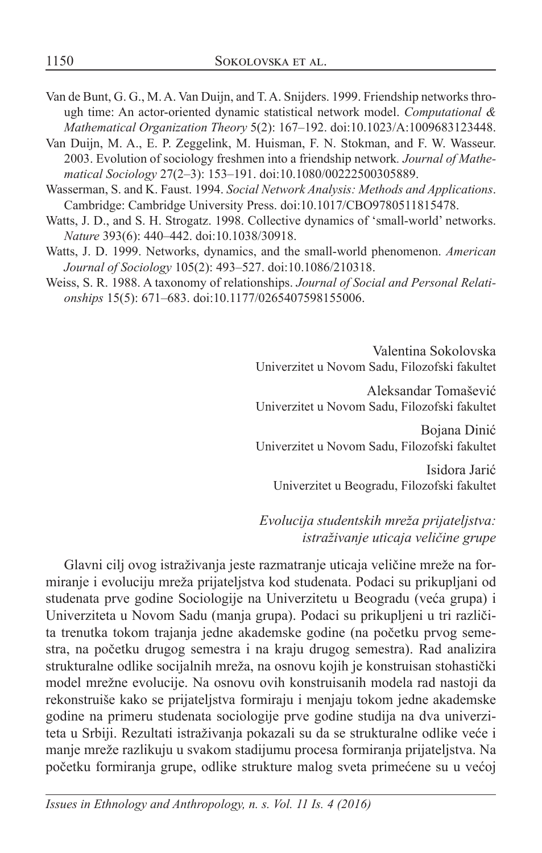- Van de Bunt, G. G., M. A. Van Duijn, and T. A. Snijders. 1999. Friendship networks through time: An actor-oriented dynamic statistical network model. *Computational & Mathematical Organization Theory* 5(2): 167–192. doi:10.1023/A:1009683123448.
- Van Duijn, M. A., E. P. Zeggelink, M. Huisman, F. N. Stokman, and F. W. Wasseur. 2003. Evolution of sociology freshmen into a friendship network*. Journal of Mathematical Sociology* 27(2–3): 153–191. doi:10.1080/00222500305889.
- Wasserman, S. and K. Faust. 1994. *Social Network Analysis: Methods and Applications*. Cambridge: Cambridge University Press. doi:10.1017/CBO9780511815478.
- Watts, J. D., and S. H. Strogatz. 1998. Collective dynamics of 'small-world' networks. *Nature* 393(6): 440–442. doi:10.1038/30918.
- Watts, J. D. 1999. Networks, dynamics, and the small-world phenomenon. *American Journal of Sociology* 105(2): 493–527. doi:10.1086/210318.
- Weiss, S. R. 1988. A taxonomy of relationships. *Journal of Social and Personal Relationships* 15(5): 671–683. doi:10.1177/0265407598155006.

Valentina Sokolovska Univerzitet u Novom Sadu, Filozofski fakultet

Aleksandar Tomašević Univerzitet u Novom Sadu, Filozofski fakultet

Bojana Dinić Univerzitet u Novom Sadu, Filozofski fakultet

Isidora Jarić Univerzitet u Beogradu, Filozofski fakultet

#### *Evolucija studentskih mreža prijateljstva: istraživanje uticaja veličine grupe*

Glavni cilj ovog istraživanja jeste razmatranje uticaja veličine mreže na formiranje i evoluciju mreža prijateljstva kod studenata. Podaci su prikupljani od studenata prve godine Sociologije na Univerzitetu u Beogradu (veća grupa) i Univerziteta u Novom Sadu (manja grupa). Podaci su prikupljeni u tri različita trenutka tokom trajanja jedne akademske godine (na početku prvog semestra, na početku drugog semestra i na kraju drugog semestra). Rad analizira strukturalne odlike socijalnih mreža, na osnovu kojih je konstruisan stohastički model mrežne evolucije. Na osnovu ovih konstruisanih modela rad nastoji da rekonstruiše kako se prijateljstva formiraju i menjaju tokom jedne akademske godine na primeru studenata sociologije prve godine studija na dva univerziteta u Srbiji. Rezultati istraživanja pokazali su da se strukturalne odlike veće i manje mreže razlikuju u svakom stadijumu procesa formiranja prijateljstva. Na početku formiranja grupe, odlike strukture malog sveta primećene su u većoj